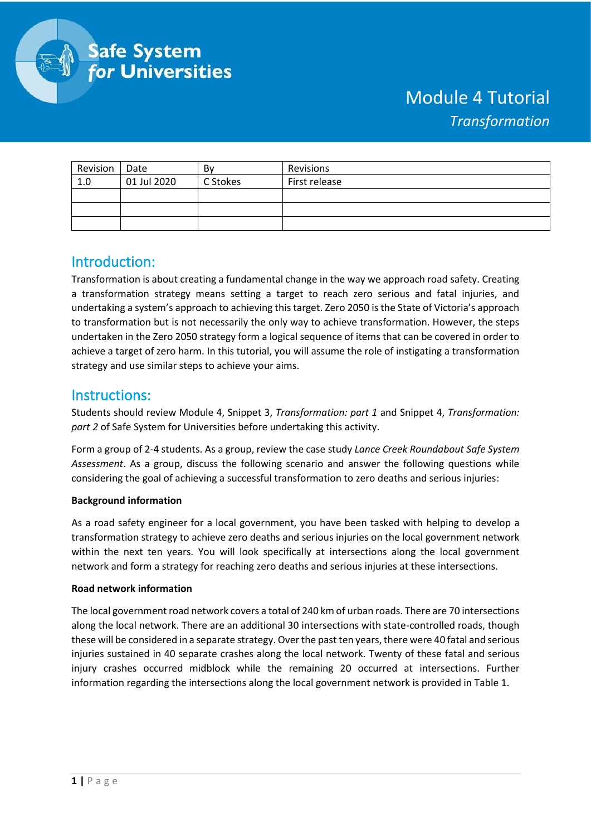

# Module 4 Tutorial *Transformation*

| Revision | Date        | Bv       | Revisions     |
|----------|-------------|----------|---------------|
| 1.0      | 01 Jul 2020 | C Stokes | First release |
|          |             |          |               |
|          |             |          |               |
|          |             |          |               |

## Introduction:

Transformation is about creating a fundamental change in the way we approach road safety. Creating a transformation strategy means setting a target to reach zero serious and fatal injuries, and undertaking a system's approach to achieving this target. Zero 2050 is the State of Victoria's approach to transformation but is not necessarily the only way to achieve transformation. However, the steps undertaken in the Zero 2050 strategy form a logical sequence of items that can be covered in order to achieve a target of zero harm. In this tutorial, you will assume the role of instigating a transformation strategy and use similar steps to achieve your aims.

### Instructions:

Students should review Module 4, Snippet 3, *Transformation: part 1* and Snippet 4, *Transformation: part 2* of Safe System for Universities before undertaking this activity.

Form a group of 2-4 students. As a group, review the case study *Lance Creek Roundabout Safe System Assessment*. As a group, discuss the following scenario and answer the following questions while considering the goal of achieving a successful transformation to zero deaths and serious injuries:

#### **Background information**

As a road safety engineer for a local government, you have been tasked with helping to develop a transformation strategy to achieve zero deaths and serious injuries on the local government network within the next ten years. You will look specifically at intersections along the local government network and form a strategy for reaching zero deaths and serious injuries at these intersections.

#### **Road network information**

The local government road network covers a total of 240 km of urban roads. There are 70 intersections along the local network. There are an additional 30 intersections with state-controlled roads, though these will be considered in a separate strategy. Over the past ten years, there were 40 fatal and serious injuries sustained in 40 separate crashes along the local network. Twenty of these fatal and serious injury crashes occurred midblock while the remaining 20 occurred at intersections. Further information regarding the intersections along the local government network is provided in Table 1.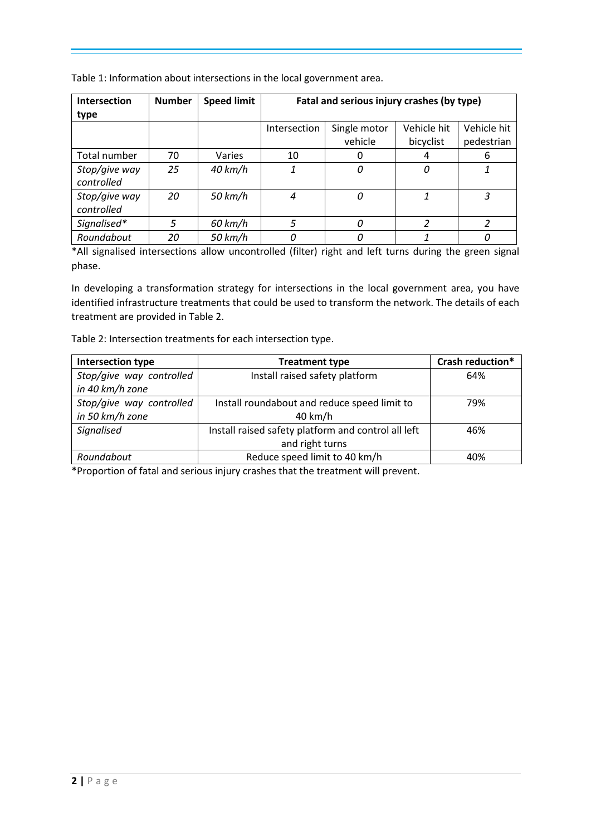Table 1: Information about intersections in the local government area.

| Intersection  | <b>Number</b> | <b>Speed limit</b> | Fatal and serious injury crashes (by type) |              |               |             |
|---------------|---------------|--------------------|--------------------------------------------|--------------|---------------|-------------|
| type          |               |                    |                                            |              |               |             |
|               |               |                    | Intersection                               | Single motor | Vehicle hit   | Vehicle hit |
|               |               |                    |                                            | vehicle      | bicyclist     | pedestrian  |
| Total number  | 70            | Varies             | 10                                         | O            |               | 6           |
| Stop/give way | 25            | $40$ km/h          |                                            | 0            | 0             |             |
| controlled    |               |                    |                                            |              |               |             |
| Stop/give way | 20            | 50 km/h            | 4                                          | 0            | 1             | 3           |
| controlled    |               |                    |                                            |              |               |             |
| Signalised*   | 5             | 60 km/h            | 5                                          | 0            | $\mathcal{P}$ | っ           |
| Roundabout    | 20            | 50 km/h            |                                            | 0            |               | n           |

\*All signalised intersections allow uncontrolled (filter) right and left turns during the green signal phase.

In developing a transformation strategy for intersections in the local government area, you have identified infrastructure treatments that could be used to transform the network. The details of each treatment are provided in Table 2.

Table 2: Intersection treatments for each intersection type.

| Intersection type        | <b>Treatment type</b>                               | Crash reduction* |
|--------------------------|-----------------------------------------------------|------------------|
| Stop/give way controlled | Install raised safety platform                      | 64%              |
| in 40 km/h zone          |                                                     |                  |
| Stop/give way controlled | Install roundabout and reduce speed limit to        | 79%              |
| in 50 km/h zone          | 40 km/h                                             |                  |
| Signalised               | Install raised safety platform and control all left | 46%              |
|                          | and right turns                                     |                  |
| Roundabout               | Reduce speed limit to 40 km/h                       | 40%              |

\*Proportion of fatal and serious injury crashes that the treatment will prevent.